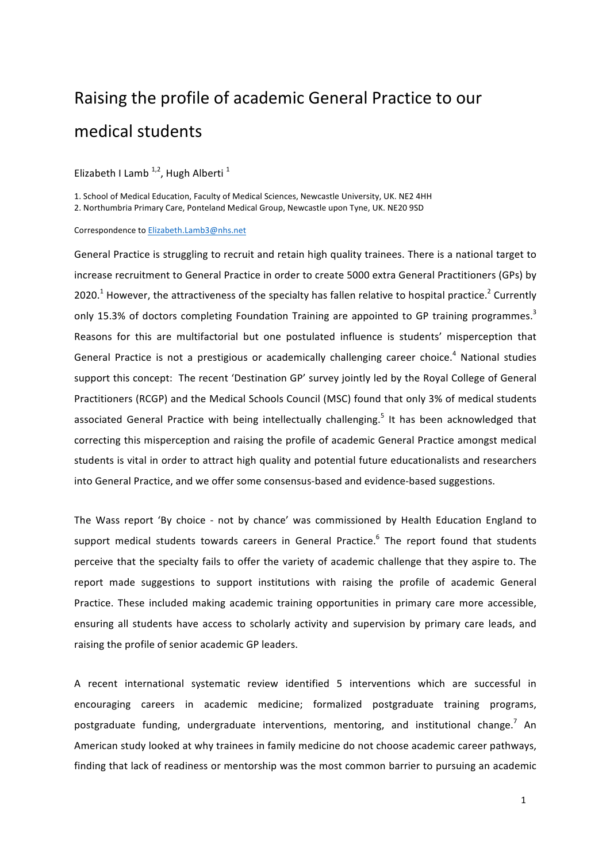# Raising the profile of academic General Practice to our medical students

#### Elizabeth I Lamb  $1,2$ , Hugh Alberti  $1$

1. School of Medical Education, Faculty of Medical Sciences, Newcastle University, UK. NE2 4HH 2. Northumbria Primary Care, Ponteland Medical Group, Newcastle upon Tyne, UK. NE20 9SD

Correspondence to Elizabeth.Lamb3@nhs.net

General Practice is struggling to recruit and retain high quality trainees. There is a national target to increase recruitment to General Practice in order to create 5000 extra General Practitioners (GPs) by 2020.<sup>1</sup> However, the attractiveness of the specialty has fallen relative to hospital practice.<sup>2</sup> Currently only 15.3% of doctors completing Foundation Training are appointed to GP training programmes.<sup>3</sup> Reasons for this are multifactorial but one postulated influence is students' misperception that General Practice is not a prestigious or academically challenging career choice.<sup>4</sup> National studies support this concept: The recent 'Destination GP' survey jointly led by the Royal College of General Practitioners (RCGP) and the Medical Schools Council (MSC) found that only 3% of medical students associated General Practice with being intellectually challenging.<sup>5</sup> It has been acknowledged that correcting this misperception and raising the profile of academic General Practice amongst medical students is vital in order to attract high quality and potential future educationalists and researchers into General Practice, and we offer some consensus-based and evidence-based suggestions.

The Wass report 'By choice - not by chance' was commissioned by Health Education England to support medical students towards careers in General Practice.<sup>6</sup> The report found that students perceive that the specialty fails to offer the variety of academic challenge that they aspire to. The report made suggestions to support institutions with raising the profile of academic General Practice. These included making academic training opportunities in primary care more accessible, ensuring all students have access to scholarly activity and supervision by primary care leads, and raising the profile of senior academic GP leaders.

A recent international systematic review identified 5 interventions which are successful in encouraging careers in academic medicine; formalized postgraduate training programs, postgraduate funding, undergraduate interventions, mentoring, and institutional change.<sup>7</sup> An American study looked at why trainees in family medicine do not choose academic career pathways, finding that lack of readiness or mentorship was the most common barrier to pursuing an academic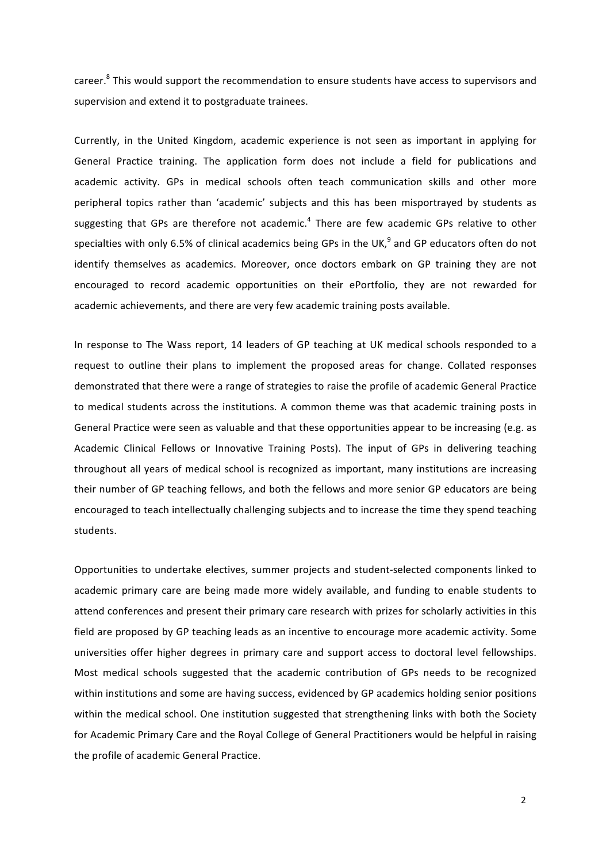career.<sup>8</sup> This would support the recommendation to ensure students have access to supervisors and supervision and extend it to postgraduate trainees.

Currently, in the United Kingdom, academic experience is not seen as important in applying for General Practice training. The application form does not include a field for publications and academic activity. GPs in medical schools often teach communication skills and other more peripheral topics rather than 'academic' subjects and this has been misportrayed by students as suggesting that GPs are therefore not academic.<sup>4</sup> There are few academic GPs relative to other specialties with only 6.5% of clinical academics being GPs in the UK,<sup>9</sup> and GP educators often do not identify themselves as academics. Moreover, once doctors embark on GP training they are not encouraged to record academic opportunities on their ePortfolio, they are not rewarded for academic achievements, and there are very few academic training posts available.

In response to The Wass report, 14 leaders of GP teaching at UK medical schools responded to a request to outline their plans to implement the proposed areas for change. Collated responses demonstrated that there were a range of strategies to raise the profile of academic General Practice to medical students across the institutions. A common theme was that academic training posts in General Practice were seen as valuable and that these opportunities appear to be increasing (e.g. as Academic Clinical Fellows or Innovative Training Posts). The input of GPs in delivering teaching throughout all years of medical school is recognized as important, many institutions are increasing their number of GP teaching fellows, and both the fellows and more senior GP educators are being encouraged to teach intellectually challenging subjects and to increase the time they spend teaching students.

Opportunities to undertake electives, summer projects and student-selected components linked to academic primary care are being made more widely available, and funding to enable students to attend conferences and present their primary care research with prizes for scholarly activities in this field are proposed by GP teaching leads as an incentive to encourage more academic activity. Some universities offer higher degrees in primary care and support access to doctoral level fellowships. Most medical schools suggested that the academic contribution of GPs needs to be recognized within institutions and some are having success, evidenced by GP academics holding senior positions within the medical school. One institution suggested that strengthening links with both the Society for Academic Primary Care and the Royal College of General Practitioners would be helpful in raising the profile of academic General Practice.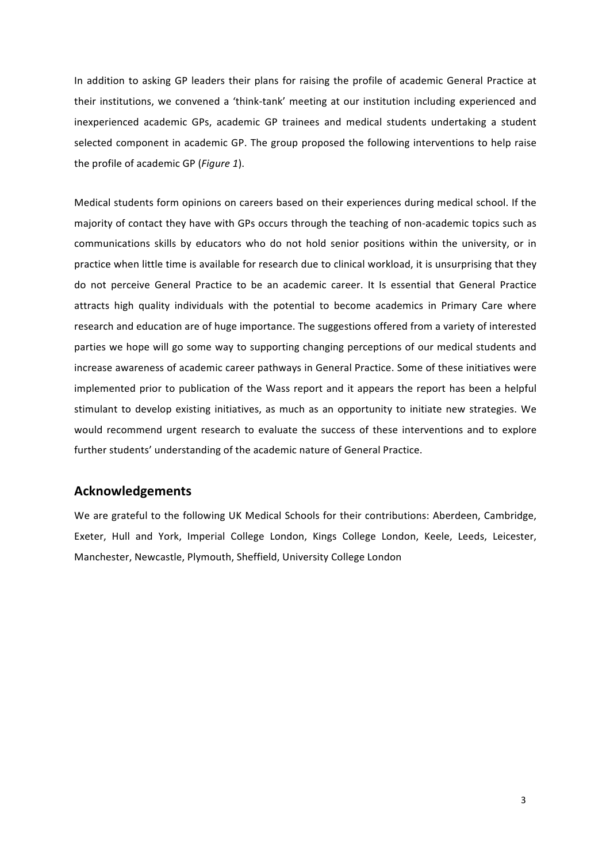In addition to asking GP leaders their plans for raising the profile of academic General Practice at their institutions, we convened a 'think-tank' meeting at our institution including experienced and inexperienced academic GPs, academic GP trainees and medical students undertaking a student selected component in academic GP. The group proposed the following interventions to help raise the profile of academic GP (*Figure 1*).

Medical students form opinions on careers based on their experiences during medical school. If the majority of contact they have with GPs occurs through the teaching of non-academic topics such as communications skills by educators who do not hold senior positions within the university, or in practice when little time is available for research due to clinical workload, it is unsurprising that they do not perceive General Practice to be an academic career. It Is essential that General Practice attracts high quality individuals with the potential to become academics in Primary Care where research and education are of huge importance. The suggestions offered from a variety of interested parties we hope will go some way to supporting changing perceptions of our medical students and increase awareness of academic career pathways in General Practice. Some of these initiatives were implemented prior to publication of the Wass report and it appears the report has been a helpful stimulant to develop existing initiatives, as much as an opportunity to initiate new strategies. We would recommend urgent research to evaluate the success of these interventions and to explore further students' understanding of the academic nature of General Practice.

#### **Acknowledgements**

We are grateful to the following UK Medical Schools for their contributions: Aberdeen, Cambridge, Exeter, Hull and York, Imperial College London, Kings College London, Keele, Leeds, Leicester, Manchester, Newcastle, Plymouth, Sheffield, University College London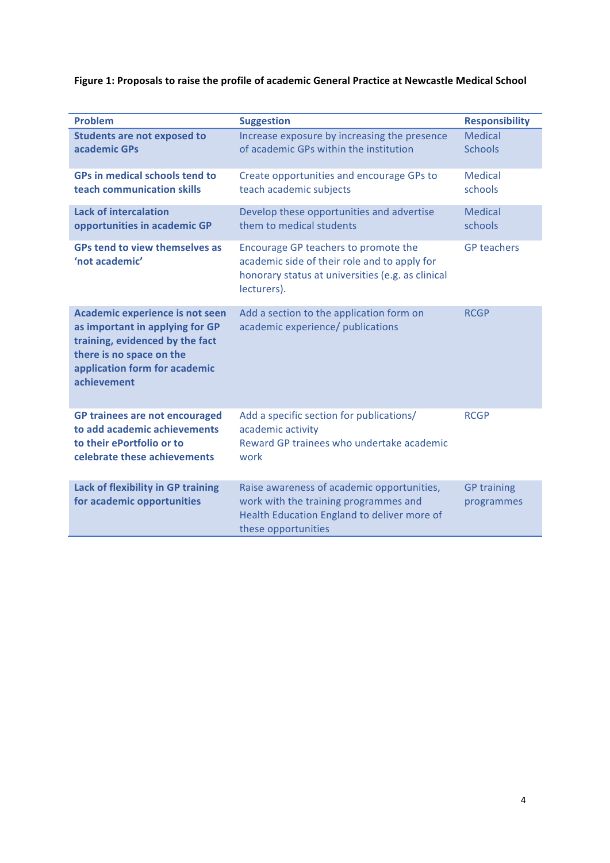### Figure 1: Proposals to raise the profile of academic General Practice at Newcastle Medical School

| <b>Problem</b>                                                                                                                                                                           | <b>Suggestion</b>                                                                                                                                         | <b>Responsibility</b>            |
|------------------------------------------------------------------------------------------------------------------------------------------------------------------------------------------|-----------------------------------------------------------------------------------------------------------------------------------------------------------|----------------------------------|
| <b>Students are not exposed to</b><br>academic GPs                                                                                                                                       | Increase exposure by increasing the presence<br>of academic GPs within the institution                                                                    | <b>Medical</b><br><b>Schools</b> |
| <b>GPs in medical schools tend to</b><br>teach communication skills                                                                                                                      | Create opportunities and encourage GPs to<br>teach academic subjects                                                                                      | <b>Medical</b><br>schools        |
| <b>Lack of intercalation</b><br>opportunities in academic GP                                                                                                                             | Develop these opportunities and advertise<br>them to medical students                                                                                     | Medical<br>schools               |
| <b>GPs tend to view themselves as</b><br>'not academic'                                                                                                                                  | Encourage GP teachers to promote the<br>academic side of their role and to apply for<br>honorary status at universities (e.g. as clinical<br>lecturers).  | <b>GP</b> teachers               |
| <b>Academic experience is not seen</b><br>as important in applying for GP<br>training, evidenced by the fact<br>there is no space on the<br>application form for academic<br>achievement | Add a section to the application form on<br>academic experience/ publications                                                                             | <b>RCGP</b>                      |
| GP trainees are not encouraged<br>to add academic achievements<br>to their ePortfolio or to<br>celebrate these achievements                                                              | Add a specific section for publications/<br>academic activity<br>Reward GP trainees who undertake academic<br>work                                        | <b>RCGP</b>                      |
| Lack of flexibility in GP training<br>for academic opportunities                                                                                                                         | Raise awareness of academic opportunities,<br>work with the training programmes and<br>Health Education England to deliver more of<br>these opportunities | <b>GP training</b><br>programmes |